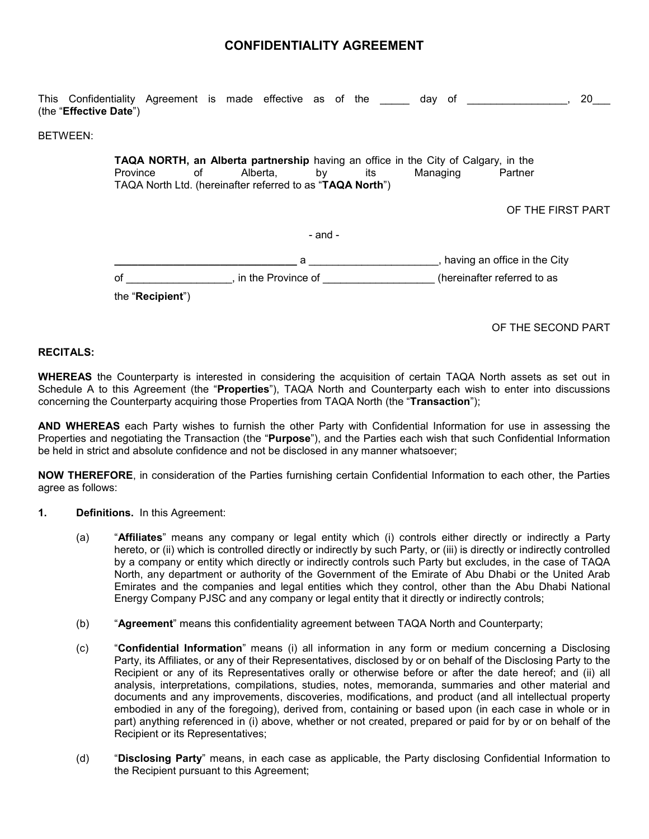## **CONFIDENTIALITY AGREEMENT**

| (the "Effective Date") |                            | This Confidentiality Agreement is made effective as of the                                                                                                               |                                                                                                                                                                                                                                 |                                | day of   |  |                   | 20 |
|------------------------|----------------------------|--------------------------------------------------------------------------------------------------------------------------------------------------------------------------|---------------------------------------------------------------------------------------------------------------------------------------------------------------------------------------------------------------------------------|--------------------------------|----------|--|-------------------|----|
| BETWEEN:               |                            |                                                                                                                                                                          |                                                                                                                                                                                                                                 |                                |          |  |                   |    |
|                        | Province                   | <b>TAQA NORTH, an Alberta partnership</b> having an office in the City of Calgary, in the<br>Alberta,<br>of<br>TAQA North Ltd. (hereinafter referred to as "TAQA North") | by the state of the state of the state of the state of the state of the state of the state of the state of the state of the state of the state of the state of the state of the state of the state of the state of the state of | its                            | Managing |  | Partner           |    |
|                        |                            |                                                                                                                                                                          |                                                                                                                                                                                                                                 |                                |          |  | OF THE FIRST PART |    |
|                        |                            |                                                                                                                                                                          | - and -                                                                                                                                                                                                                         |                                |          |  |                   |    |
|                        | a                          |                                                                                                                                                                          |                                                                                                                                                                                                                                 | , having an office in the City |          |  |                   |    |
|                        | , in the Province of<br>οf |                                                                                                                                                                          |                                                                                                                                                                                                                                 | (hereinafter referred to as    |          |  |                   |    |
|                        | the "Recipient")           |                                                                                                                                                                          |                                                                                                                                                                                                                                 |                                |          |  |                   |    |

## **RECITALS:**

**WHEREAS** the Counterparty is interested in considering the acquisition of certain TAQA North assets as set out in Schedule A to this Agreement (the "**Properties**"), TAQA North and Counterparty each wish to enter into discussions concerning the Counterparty acquiring those Properties from TAQA North (the "**Transaction**");

OF THE SECOND PART

**AND WHEREAS** each Party wishes to furnish the other Party with Confidential Information for use in assessing the Properties and negotiating the Transaction (the "**Purpose**"), and the Parties each wish that such Confidential Information be held in strict and absolute confidence and not be disclosed in any manner whatsoever;

**NOW THEREFORE**, in consideration of the Parties furnishing certain Confidential Information to each other, the Parties agree as follows:

- **1. Definitions.** In this Agreement:
	- (a) "**Affiliates**" means any company or legal entity which (i) controls either directly or indirectly a Party hereto, or (ii) which is controlled directly or indirectly by such Party, or (iii) is directly or indirectly controlled by a company or entity which directly or indirectly controls such Party but excludes, in the case of TAQA North, any department or authority of the Government of the Emirate of Abu Dhabi or the United Arab Emirates and the companies and legal entities which they control, other than the Abu Dhabi National Energy Company PJSC and any company or legal entity that it directly or indirectly controls;
	- (b) "**Agreement**" means this confidentiality agreement between TAQA North and Counterparty;
	- (c) "**Confidential Information**" means (i) all information in any form or medium concerning a Disclosing Party, its Affiliates, or any of their Representatives, disclosed by or on behalf of the Disclosing Party to the Recipient or any of its Representatives orally or otherwise before or after the date hereof; and (ii) all analysis, interpretations, compilations, studies, notes, memoranda, summaries and other material and documents and any improvements, discoveries, modifications, and product (and all intellectual property embodied in any of the foregoing), derived from, containing or based upon (in each case in whole or in part) anything referenced in (i) above, whether or not created, prepared or paid for by or on behalf of the Recipient or its Representatives;
	- (d) "**Disclosing Party**" means, in each case as applicable, the Party disclosing Confidential Information to the Recipient pursuant to this Agreement;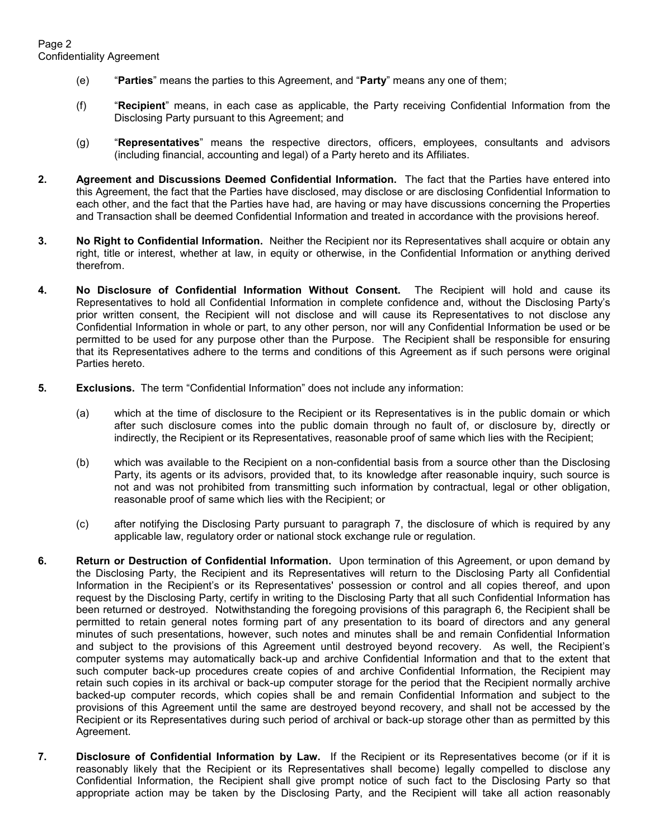- (e) "**Parties**" means the parties to this Agreement, and "**Party**" means any one of them;
- (f) "**Recipient**" means, in each case as applicable, the Party receiving Confidential Information from the Disclosing Party pursuant to this Agreement; and
- (g) "**Representatives**" means the respective directors, officers, employees, consultants and advisors (including financial, accounting and legal) of a Party hereto and its Affiliates.
- **2. Agreement and Discussions Deemed Confidential Information.** The fact that the Parties have entered into this Agreement, the fact that the Parties have disclosed, may disclose or are disclosing Confidential Information to each other, and the fact that the Parties have had, are having or may have discussions concerning the Properties and Transaction shall be deemed Confidential Information and treated in accordance with the provisions hereof.
- **3. No Right to Confidential Information.** Neither the Recipient nor its Representatives shall acquire or obtain any right, title or interest, whether at law, in equity or otherwise, in the Confidential Information or anything derived therefrom.
- **4. No Disclosure of Confidential Information Without Consent.** The Recipient will hold and cause its Representatives to hold all Confidential Information in complete confidence and, without the Disclosing Party's prior written consent, the Recipient will not disclose and will cause its Representatives to not disclose any Confidential Information in whole or part, to any other person, nor will any Confidential Information be used or be permitted to be used for any purpose other than the Purpose. The Recipient shall be responsible for ensuring that its Representatives adhere to the terms and conditions of this Agreement as if such persons were original Parties hereto.
- **5. Exclusions.** The term "Confidential Information" does not include any information:
	- (a) which at the time of disclosure to the Recipient or its Representatives is in the public domain or which after such disclosure comes into the public domain through no fault of, or disclosure by, directly or indirectly, the Recipient or its Representatives, reasonable proof of same which lies with the Recipient;
	- (b) which was available to the Recipient on a non-confidential basis from a source other than the Disclosing Party, its agents or its advisors, provided that, to its knowledge after reasonable inquiry, such source is not and was not prohibited from transmitting such information by contractual, legal or other obligation, reasonable proof of same which lies with the Recipient; or
	- (c) after notifying the Disclosing Party pursuant to paragraph [7,](#page-1-0) the disclosure of which is required by any applicable law, regulatory order or national stock exchange rule or regulation.
- <span id="page-1-1"></span>**6. Return or Destruction of Confidential Information.** Upon termination of this Agreement, or upon demand by the Disclosing Party, the Recipient and its Representatives will return to the Disclosing Party all Confidential Information in the Recipient's or its Representatives' possession or control and all copies thereof, and upon request by the Disclosing Party, certify in writing to the Disclosing Party that all such Confidential Information has been returned or destroyed. Notwithstanding the foregoing provisions of this paragraph [6,](#page-1-1) the Recipient shall be permitted to retain general notes forming part of any presentation to its board of directors and any general minutes of such presentations, however, such notes and minutes shall be and remain Confidential Information and subject to the provisions of this Agreement until destroyed beyond recovery. As well, the Recipient's computer systems may automatically back-up and archive Confidential Information and that to the extent that such computer back-up procedures create copies of and archive Confidential Information, the Recipient may retain such copies in its archival or back-up computer storage for the period that the Recipient normally archive backed-up computer records, which copies shall be and remain Confidential Information and subject to the provisions of this Agreement until the same are destroyed beyond recovery, and shall not be accessed by the Recipient or its Representatives during such period of archival or back-up storage other than as permitted by this Agreement.
- <span id="page-1-0"></span>**7. Disclosure of Confidential Information by Law.** If the Recipient or its Representatives become (or if it is reasonably likely that the Recipient or its Representatives shall become) legally compelled to disclose any Confidential Information, the Recipient shall give prompt notice of such fact to the Disclosing Party so that appropriate action may be taken by the Disclosing Party, and the Recipient will take all action reasonably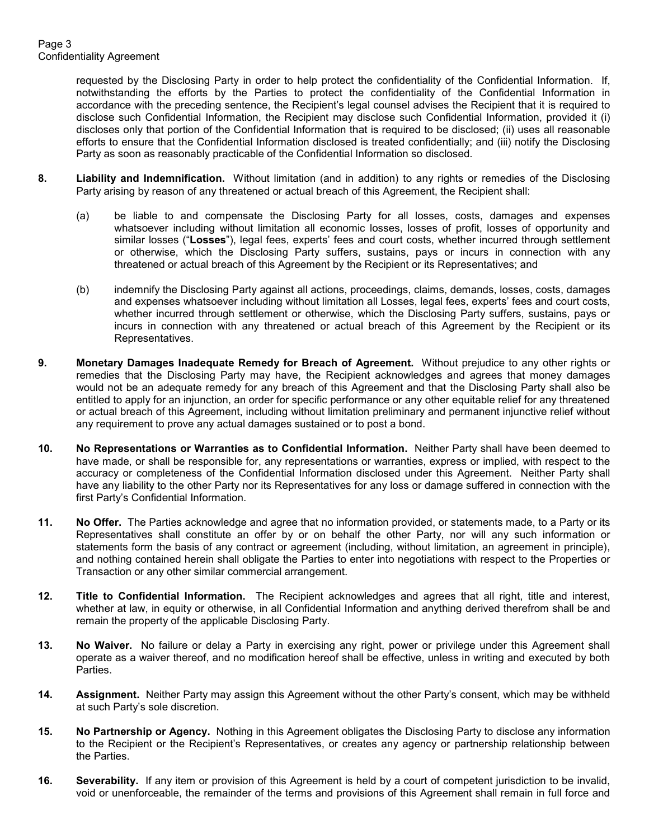requested by the Disclosing Party in order to help protect the confidentiality of the Confidential Information. If, notwithstanding the efforts by the Parties to protect the confidentiality of the Confidential Information in accordance with the preceding sentence, the Recipient's legal counsel advises the Recipient that it is required to disclose such Confidential Information, the Recipient may disclose such Confidential Information, provided it (i) discloses only that portion of the Confidential Information that is required to be disclosed; (ii) uses all reasonable efforts to ensure that the Confidential Information disclosed is treated confidentially; and (iii) notify the Disclosing Party as soon as reasonably practicable of the Confidential Information so disclosed.

- **8. Liability and Indemnification.** Without limitation (and in addition) to any rights or remedies of the Disclosing Party arising by reason of any threatened or actual breach of this Agreement, the Recipient shall:
	- (a) be liable to and compensate the Disclosing Party for all losses, costs, damages and expenses whatsoever including without limitation all economic losses, losses of profit, losses of opportunity and similar losses ("**Losses**"), legal fees, experts' fees and court costs, whether incurred through settlement or otherwise, which the Disclosing Party suffers, sustains, pays or incurs in connection with any threatened or actual breach of this Agreement by the Recipient or its Representatives; and
	- (b) indemnify the Disclosing Party against all actions, proceedings, claims, demands, losses, costs, damages and expenses whatsoever including without limitation all Losses, legal fees, experts' fees and court costs, whether incurred through settlement or otherwise, which the Disclosing Party suffers, sustains, pays or incurs in connection with any threatened or actual breach of this Agreement by the Recipient or its Representatives.
- **9. Monetary Damages Inadequate Remedy for Breach of Agreement.** Without prejudice to any other rights or remedies that the Disclosing Party may have, the Recipient acknowledges and agrees that money damages would not be an adequate remedy for any breach of this Agreement and that the Disclosing Party shall also be entitled to apply for an injunction, an order for specific performance or any other equitable relief for any threatened or actual breach of this Agreement, including without limitation preliminary and permanent injunctive relief without any requirement to prove any actual damages sustained or to post a bond.
- **10. No Representations or Warranties as to Confidential Information.** Neither Party shall have been deemed to have made, or shall be responsible for, any representations or warranties, express or implied, with respect to the accuracy or completeness of the Confidential Information disclosed under this Agreement. Neither Party shall have any liability to the other Party nor its Representatives for any loss or damage suffered in connection with the first Party's Confidential Information.
- **11. No Offer.** The Parties acknowledge and agree that no information provided, or statements made, to a Party or its Representatives shall constitute an offer by or on behalf the other Party, nor will any such information or statements form the basis of any contract or agreement (including, without limitation, an agreement in principle), and nothing contained herein shall obligate the Parties to enter into negotiations with respect to the Properties or Transaction or any other similar commercial arrangement.
- **12. Title to Confidential Information.** The Recipient acknowledges and agrees that all right, title and interest, whether at law, in equity or otherwise, in all Confidential Information and anything derived therefrom shall be and remain the property of the applicable Disclosing Party.
- **13. No Waiver.** No failure or delay a Party in exercising any right, power or privilege under this Agreement shall operate as a waiver thereof, and no modification hereof shall be effective, unless in writing and executed by both Parties.
- **14. Assignment.** Neither Party may assign this Agreement without the other Party's consent, which may be withheld at such Party's sole discretion.
- **15. No Partnership or Agency.** Nothing in this Agreement obligates the Disclosing Party to disclose any information to the Recipient or the Recipient's Representatives, or creates any agency or partnership relationship between the Parties.
- **16. Severability.** If any item or provision of this Agreement is held by a court of competent jurisdiction to be invalid, void or unenforceable, the remainder of the terms and provisions of this Agreement shall remain in full force and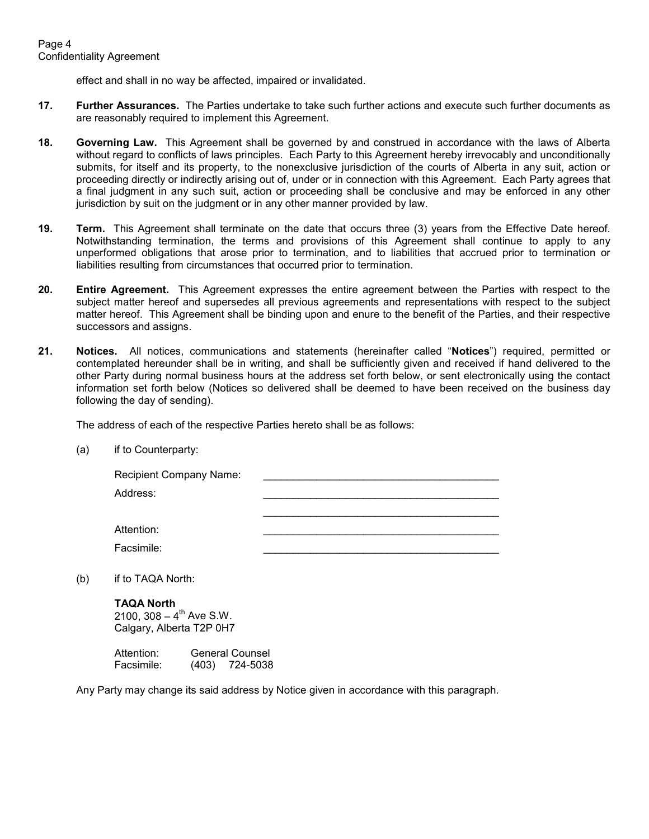effect and shall in no way be affected, impaired or invalidated.

- **17. Further Assurances.** The Parties undertake to take such further actions and execute such further documents as are reasonably required to implement this Agreement.
- **18. Governing Law.** This Agreement shall be governed by and construed in accordance with the laws of Alberta without regard to conflicts of laws principles. Each Party to this Agreement hereby irrevocably and unconditionally submits, for itself and its property, to the nonexclusive jurisdiction of the courts of Alberta in any suit, action or proceeding directly or indirectly arising out of, under or in connection with this Agreement. Each Party agrees that a final judgment in any such suit, action or proceeding shall be conclusive and may be enforced in any other jurisdiction by suit on the judgment or in any other manner provided by law.
- **19. Term.** This Agreement shall terminate on the date that occurs three (3) years from the Effective Date hereof. Notwithstanding termination, the terms and provisions of this Agreement shall continue to apply to any unperformed obligations that arose prior to termination, and to liabilities that accrued prior to termination or liabilities resulting from circumstances that occurred prior to termination.
- **20. Entire Agreement.** This Agreement expresses the entire agreement between the Parties with respect to the subject matter hereof and supersedes all previous agreements and representations with respect to the subject matter hereof. This Agreement shall be binding upon and enure to the benefit of the Parties, and their respective successors and assigns.
- **21. Notices.** All notices, communications and statements (hereinafter called "**Notices**") required, permitted or contemplated hereunder shall be in writing, and shall be sufficiently given and received if hand delivered to the other Party during normal business hours at the address set forth below, or sent electronically using the contact information set forth below (Notices so delivered shall be deemed to have been received on the business day following the day of sending).

The address of each of the respective Parties hereto shall be as follows:

(a) if to Counterparty:

| <b>Recipient Company Name:</b> |  |
|--------------------------------|--|
| Address:                       |  |
|                                |  |
|                                |  |

Attention: \_\_\_\_\_\_\_\_\_\_\_\_\_\_\_\_\_\_\_\_\_\_\_\_\_\_\_\_\_\_\_\_\_\_\_\_\_\_\_\_ Facsimile: \_\_\_\_\_\_\_\_\_\_\_\_\_\_\_\_\_\_\_\_\_\_\_\_\_\_\_\_\_\_\_\_\_\_\_\_\_\_\_\_

(b) if to TAQA North:

**TAQA North** 2100, 308 –  $4^{th}$  Ave S.W. Calgary, Alberta T2P 0H7

Attention: General Counsel Facsimile: (403) 724-5038

Any Party may change its said address by Notice given in accordance with this paragraph.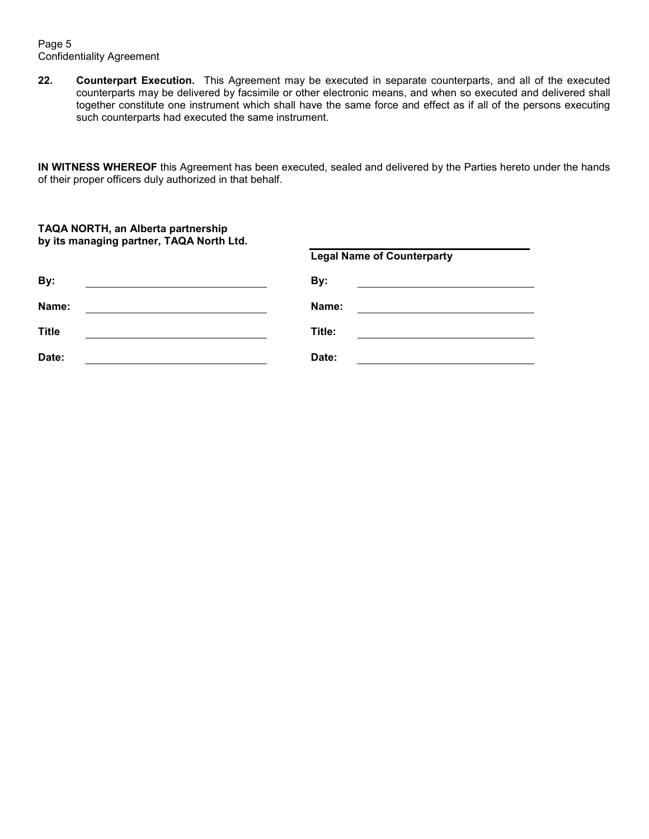Page 5 Confidentiality Agreement

**22. Counterpart Execution.** This Agreement may be executed in separate counterparts, and all of the executed counterparts may be delivered by facsimile or other electronic means, and when so executed and delivered shall together constitute one instrument which shall have the same force and effect as if all of the persons executing such counterparts had executed the same instrument.

**IN WITNESS WHEREOF** this Agreement has been executed, sealed and delivered by the Parties hereto under the hands of their proper officers duly authorized in that behalf.

## **TAQA NORTH, an Alberta partnership by its managing partner, TAQA North Ltd.**

|                                                                                                                               | <b>Legal Name of Counterparty</b>                          |
|-------------------------------------------------------------------------------------------------------------------------------|------------------------------------------------------------|
| By:                                                                                                                           | By:<br><u> 1989 - Johann Barbara, martxa alemaniar arg</u> |
| Name:<br><u> 1980 - Jan Stein Stein Stein Stein Stein Stein Stein Stein Stein Stein Stein Stein Stein Stein Stein Stein S</u> | Name:                                                      |
| <b>Title</b>                                                                                                                  | Title:                                                     |
| Date:                                                                                                                         | Date:                                                      |